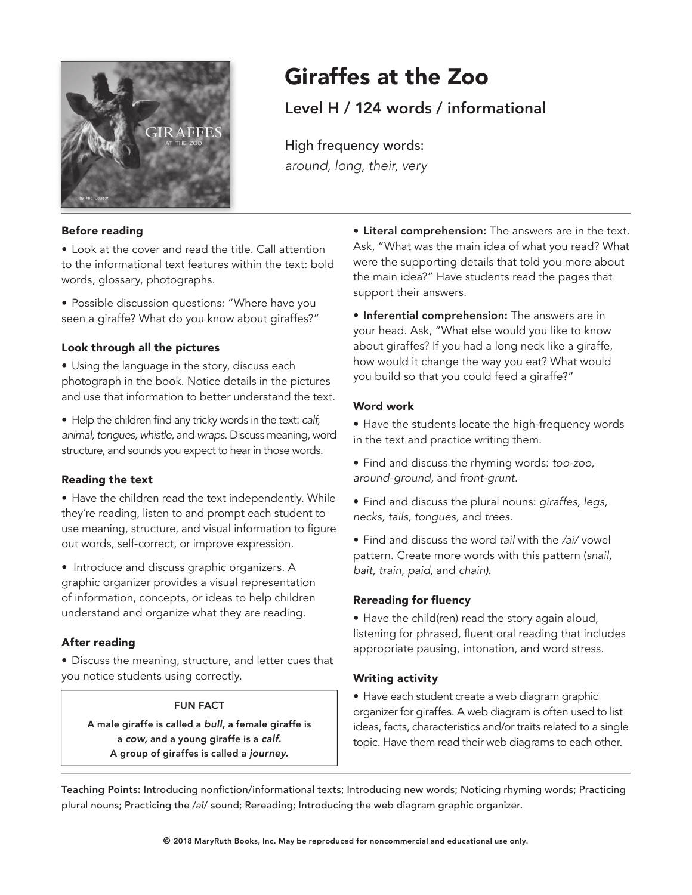

# Giraffes at the Zoo

Level H / 124 words / informational

High frequency words: around, long, their, very

#### Before reading

• Look at the cover and read the title. Call attention to the informational text features within the text: bold words, glossary, photographs.

• Possible discussion questions: "Where have you seen a giraffe? What do you know about giraffes?"

# Look through all the pictures

- Using the language in the story, discuss each photograph in the book. Notice details in the pictures and use that information to better understand the text.
- Help the children find any tricky words in the text: calf, animal, tongues, whistle, and wraps. Discuss meaning, word structure, and sounds you expect to hear in those words.

#### Reading the text

• Have the children read the text independently. While they're reading, listen to and prompt each student to use meaning, structure, and visual information to figure out words, self-correct, or improve expression.

• Introduce and discuss graphic organizers. A graphic organizer provides a visual representation of information, concepts, or ideas to help children understand and organize what they are reading.

# After reading

• Discuss the meaning, structure, and letter cues that you notice students using correctly.

#### FUN FACT

A male giraffe is called a bull, a female giraffe is a cow, and a young giraffe is a calf. A group of giraffes is called a journey.

• Literal comprehension: The answers are in the text. Ask, "What was the main idea of what you read? What were the supporting details that told you more about the main idea?" Have students read the pages that support their answers.

**• Inferential comprehension:** The answers are in your head. Ask, "What else would you like to know about giraffes? If you had a long neck like a giraffe, how would it change the way you eat? What would you build so that you could feed a giraffe?"

#### Word work

• Have the students locate the high-frequency words in the text and practice writing them.

- Find and discuss the rhyming words: too-zoo, around-ground, and front-grunt.
- Find and discuss the plural nouns: giraffes, legs, necks, tails, tongues, and trees.
- Find and discuss the word tail with the /ai/ vowel pattern. Create more words with this pattern (snail, bait, train, paid, and chain).

# Rereading for fuency

• Have the child(ren) read the story again aloud, listening for phrased, fuent oral reading that includes appropriate pausing, intonation, and word stress.

# Writing activity

• Have each student create a web diagram graphic organizer for giraffes. A web diagram is often used to list ideas, facts, characteristics and/or traits related to a single topic. Have them read their web diagrams to each other.

Teaching Points: Introducing nonfiction/informational texts; Introducing new words; Noticing rhyming words; Practicing plural nouns; Practicing the /ai/ sound; Rereading; Introducing the web diagram graphic organizer.